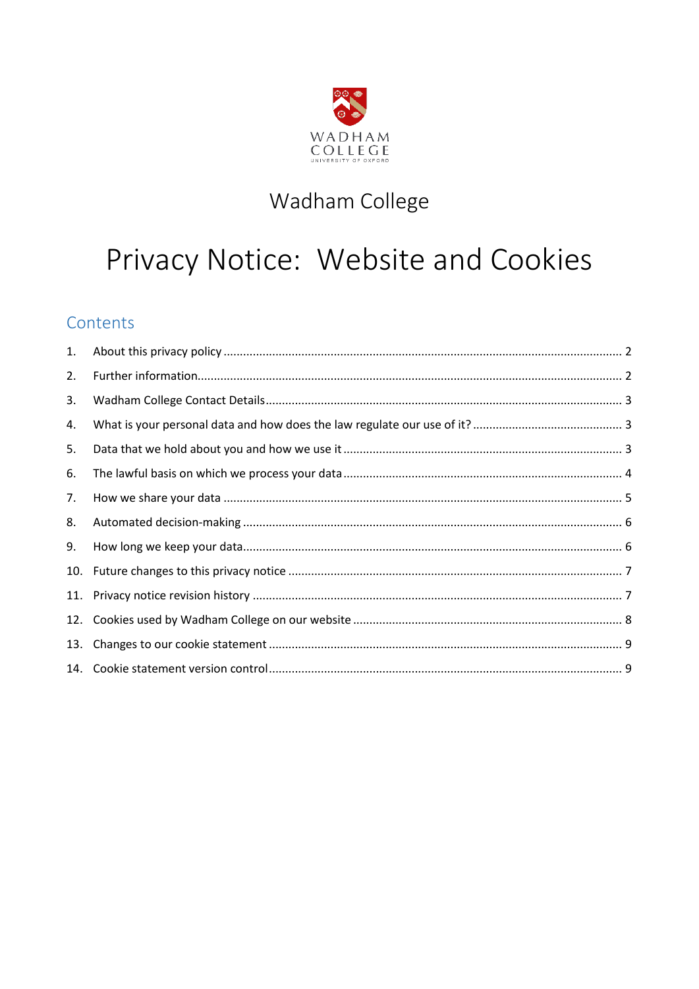

## Wadham College

# Privacy Notice: Website and Cookies

## Contents

| 1.  |  |
|-----|--|
| 2.  |  |
| 3.  |  |
| 4.  |  |
| 5.  |  |
| 6.  |  |
| 7.  |  |
| 8.  |  |
| 9.  |  |
| 10. |  |
|     |  |
|     |  |
| 13. |  |
|     |  |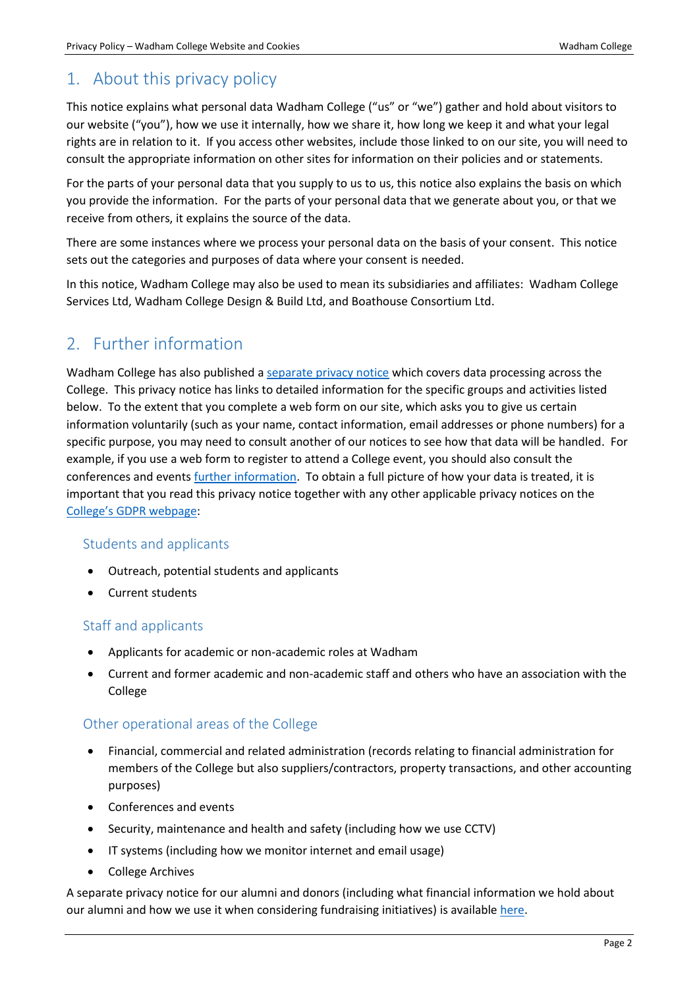## <span id="page-1-0"></span>1. About this privacy policy

This notice explains what personal data Wadham College ("us" or "we") gather and hold about visitors to our website ("you"), how we use it internally, how we share it, how long we keep it and what your legal rights are in relation to it. If you access other websites, include those linked to on our site, you will need to consult the appropriate information on other sites for information on their policies and or statements.

For the parts of your personal data that you supply to us to us, this notice also explains the basis on which you provide the information. For the parts of your personal data that we generate about you, or that we receive from others, it explains the source of the data.

There are some instances where we process your personal data on the basis of your consent. This notice sets out the categories and purposes of data where your consent is needed.

In this notice, Wadham College may also be used to mean its subsidiaries and affiliates: Wadham College Services Ltd, Wadham College Design & Build Ltd, and Boathouse Consortium Ltd.

## <span id="page-1-1"></span>2. Further information

Wadham College has also published a [separate privacy notice](https://www.wadham.ox.ac.uk/governance/wadham-college-gdpr-framework) which covers data processing across the College. This privacy notice has links to detailed information for the specific groups and activities listed below. To the extent that you complete a web form on our site, which asks you to give us certain information voluntarily (such as your name, contact information, email addresses or phone numbers) for a specific purpose, you may need to consult another of our notices to see how that data will be handled. For example, if you use a web form to register to attend a College event, you should also consult the conferences and events [further information.](https://www.wadham.ox.ac.uk/governance/wadham-college-gdpr-framework) To obtain a full picture of how your data is treated, it is important that you read this privacy notice together with any other applicable privacy notices on the [College's GDPR webpage](https://www.wadham.ox.ac.uk/governance/wadham-college-gdpr-framework):

#### Students and applicants

- Outreach, potential students and applicants
- Current students

#### Staff and applicants

- Applicants for academic or non-academic roles at Wadham
- Current and former academic and non-academic staff and others who have an association with the College

#### Other operational areas of the College

- Financial, commercial and related administration (records relating to financial administration for members of the College but also suppliers/contractors, property transactions, and other accounting purposes)
- Conferences and events
- Security, maintenance and health and safety (including how we use CCTV)
- IT systems (including how we monitor internet and email usage)
- College Archives

A separate privacy notice for our alumni and donors (including what financial information we hold about our alumni and how we use it when considering fundraising initiatives) is available [here.](https://www.wadham.ox.ac.uk/governance/wadham-college-gdpr-framework)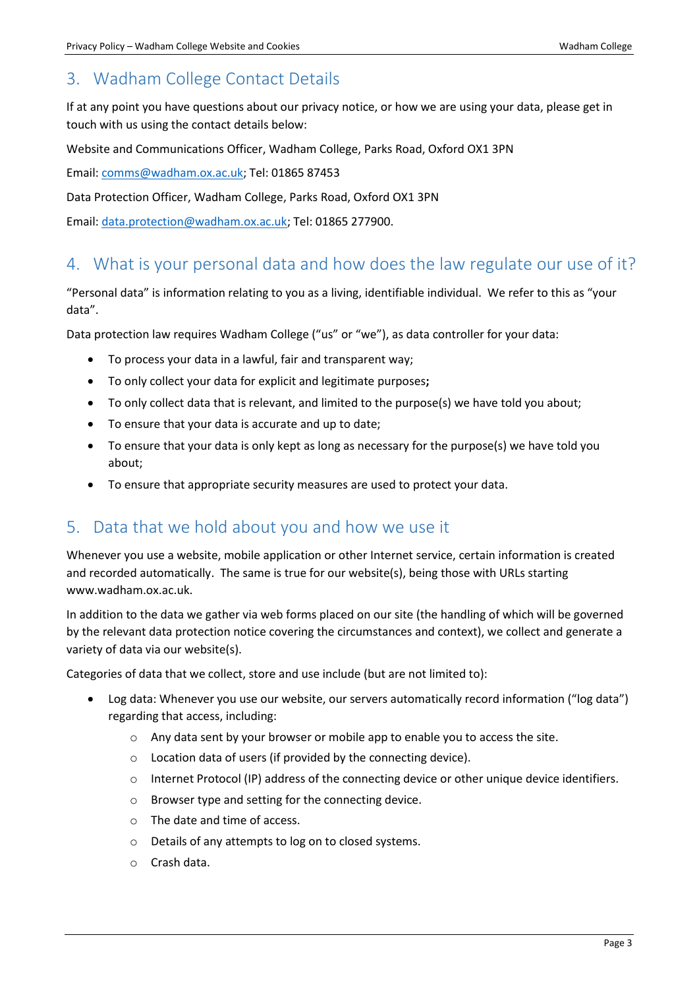## <span id="page-2-0"></span>3. Wadham College Contact Details

If at any point you have questions about our privacy notice, or how we are using your data, please get in touch with us using the contact details below:

Website and Communications Officer, Wadham College, Parks Road, Oxford OX1 3PN

Email[: comms@wadham.ox.ac.uk;](mailto:comms@wadham.ox.ac.uk) Tel: 01865 87453

Data Protection Officer, Wadham College, Parks Road, Oxford OX1 3PN

Email[: data.protection@wadham.ox.ac.uk;](mailto:data.protection@wadham.ox.ac.uk) Tel: 01865 277900.

## <span id="page-2-1"></span>4. What is your personal data and how does the law regulate our use of it?

"Personal data" is information relating to you as a living, identifiable individual. We refer to this as "your data".

Data protection law requires Wadham College ("us" or "we"), as data controller for your data:

- To process your data in a lawful, fair and transparent way;
- To only collect your data for explicit and legitimate purposes**;**
- To only collect data that is relevant, and limited to the purpose(s) we have told you about;
- To ensure that your data is accurate and up to date;
- To ensure that your data is only kept as long as necessary for the purpose(s) we have told you about;
- To ensure that appropriate security measures are used to protect your data.

## <span id="page-2-2"></span>5. Data that we hold about you and how we use it

Whenever you use a website, mobile application or other Internet service, certain information is created and recorded automatically. The same is true for our website(s), being those with URLs starting www.wadham.ox.ac.uk.

In addition to the data we gather via web forms placed on our site (the handling of which will be governed by the relevant data protection notice covering the circumstances and context), we collect and generate a variety of data via our website(s).

Categories of data that we collect, store and use include (but are not limited to):

- Log data: Whenever you use our website, our servers automatically record information ("log data") regarding that access, including:
	- o Any data sent by your browser or mobile app to enable you to access the site.
	- o Location data of users (if provided by the connecting device).
	- $\circ$  Internet Protocol (IP) address of the connecting device or other unique device identifiers.
	- o Browser type and setting for the connecting device.
	- o The date and time of access.
	- o Details of any attempts to log on to closed systems.
	- o Crash data.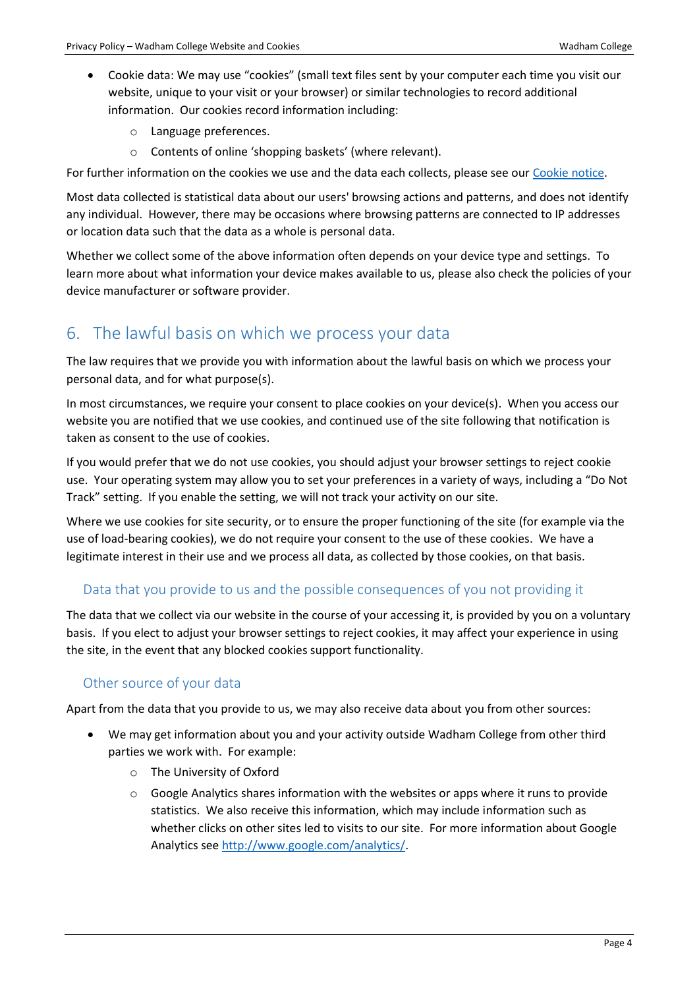- Cookie data: We may use "cookies" (small text files sent by your computer each time you visit our website, unique to your visit or your browser) or similar technologies to record additional information. Our cookies record information including:
	- o Language preferences.
	- o Contents of online 'shopping baskets' (where relevant).

For further information on the cookies we use and the data each collects, please see our [Cookie notice.](https://www.wadham.ox.ac.uk/home/privacy-cookies)

Most data collected is statistical data about our users' browsing actions and patterns, and does not identify any individual. However, there may be occasions where browsing patterns are connected to IP addresses or location data such that the data as a whole is personal data.

Whether we collect some of the above information often depends on your device type and settings. To learn more about what information your device makes available to us, please also check the policies of your device manufacturer or software provider.

## <span id="page-3-0"></span>6. The lawful basis on which we process your data

The law requires that we provide you with information about the lawful basis on which we process your personal data, and for what purpose(s).

In most circumstances, we require your consent to place cookies on your device(s). When you access our website you are notified that we use cookies, and continued use of the site following that notification is taken as consent to the use of cookies.

If you would prefer that we do not use cookies, you should adjust your browser settings to reject cookie use. Your operating system may allow you to set your preferences in a variety of ways, including a "Do Not Track" setting. If you enable the setting, we will not track your activity on our site.

Where we use cookies for site security, or to ensure the proper functioning of the site (for example via the use of load-bearing cookies), we do not require your consent to the use of these cookies. We have a legitimate interest in their use and we process all data, as collected by those cookies, on that basis.

#### Data that you provide to us and the possible consequences of you not providing it

The data that we collect via our website in the course of your accessing it, is provided by you on a voluntary basis. If you elect to adjust your browser settings to reject cookies, it may affect your experience in using the site, in the event that any blocked cookies support functionality.

#### Other source of your data

Apart from the data that you provide to us, we may also receive data about you from other sources:

- We may get information about you and your activity outside Wadham College from other third parties we work with. For example:
	- o The University of Oxford
	- $\circ$  Google Analytics shares information with the websites or apps where it runs to provide statistics. We also receive this information, which may include information such as whether clicks on other sites led to visits to our site. For more information about Google Analytics see [http://www.google.com/analytics/.](http://www.google.com/analytics/)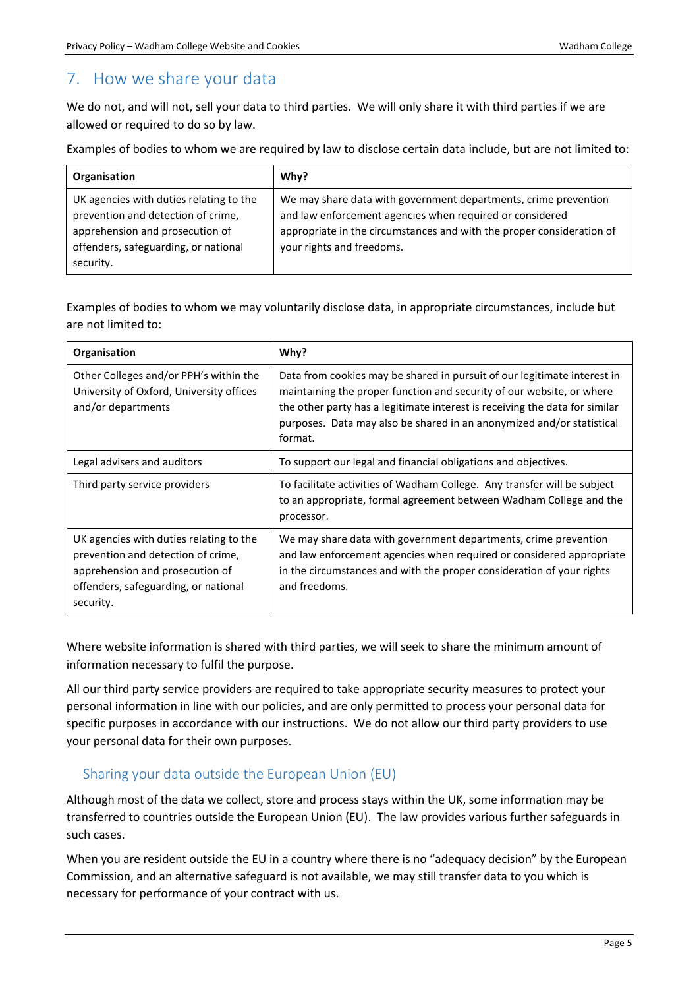## <span id="page-4-0"></span>7. How we share your data

We do not, and will not, sell your data to third parties. We will only share it with third parties if we are allowed or required to do so by law.

Examples of bodies to whom we are required by law to disclose certain data include, but are not limited to:

| Organisation                                                                                                                                                          | Why?                                                                                                                                                                                                                              |
|-----------------------------------------------------------------------------------------------------------------------------------------------------------------------|-----------------------------------------------------------------------------------------------------------------------------------------------------------------------------------------------------------------------------------|
| UK agencies with duties relating to the<br>prevention and detection of crime,<br>apprehension and prosecution of<br>offenders, safeguarding, or national<br>security. | We may share data with government departments, crime prevention<br>and law enforcement agencies when required or considered<br>appropriate in the circumstances and with the proper consideration of<br>your rights and freedoms. |

Examples of bodies to whom we may voluntarily disclose data, in appropriate circumstances, include but are not limited to:

| Organisation                                                                                                                                                          | Why?                                                                                                                                                                                                                                                                                                                 |
|-----------------------------------------------------------------------------------------------------------------------------------------------------------------------|----------------------------------------------------------------------------------------------------------------------------------------------------------------------------------------------------------------------------------------------------------------------------------------------------------------------|
| Other Colleges and/or PPH's within the<br>University of Oxford, University offices<br>and/or departments                                                              | Data from cookies may be shared in pursuit of our legitimate interest in<br>maintaining the proper function and security of our website, or where<br>the other party has a legitimate interest is receiving the data for similar<br>purposes. Data may also be shared in an anonymized and/or statistical<br>format. |
| Legal advisers and auditors                                                                                                                                           | To support our legal and financial obligations and objectives.                                                                                                                                                                                                                                                       |
| Third party service providers                                                                                                                                         | To facilitate activities of Wadham College. Any transfer will be subject<br>to an appropriate, formal agreement between Wadham College and the<br>processor.                                                                                                                                                         |
| UK agencies with duties relating to the<br>prevention and detection of crime,<br>apprehension and prosecution of<br>offenders, safeguarding, or national<br>security. | We may share data with government departments, crime prevention<br>and law enforcement agencies when required or considered appropriate<br>in the circumstances and with the proper consideration of your rights<br>and freedoms.                                                                                    |

Where website information is shared with third parties, we will seek to share the minimum amount of information necessary to fulfil the purpose.

All our third party service providers are required to take appropriate security measures to protect your personal information in line with our policies, and are only permitted to process your personal data for specific purposes in accordance with our instructions. We do not allow our third party providers to use your personal data for their own purposes.

#### Sharing your data outside the European Union (EU)

Although most of the data we collect, store and process stays within the UK, some information may be transferred to countries outside the European Union (EU). The law provides various further safeguards in such cases.

When you are resident outside the EU in a country where there is no "adequacy decision" by the European Commission, and an alternative safeguard is not available, we may still transfer data to you which is necessary for performance of your contract with us.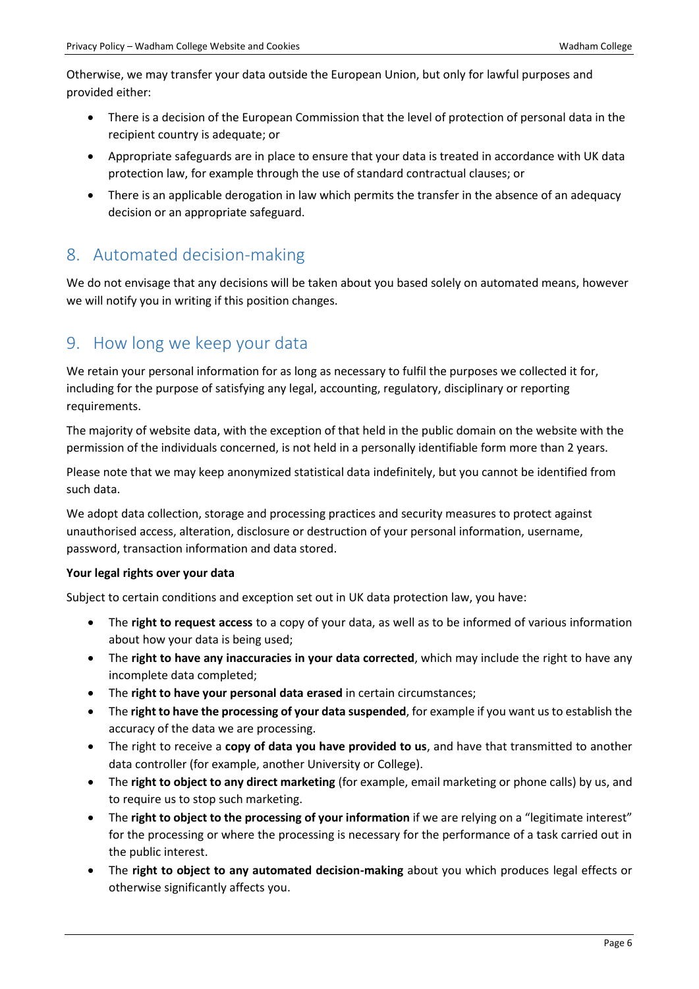Otherwise, we may transfer your data outside the European Union, but only for lawful purposes and provided either:

- There is a decision of the European Commission that the level of protection of personal data in the recipient country is adequate; or
- Appropriate safeguards are in place to ensure that your data is treated in accordance with UK data protection law, for example through the use of standard contractual clauses; or
- There is an applicable derogation in law which permits the transfer in the absence of an adequacy decision or an appropriate safeguard.

## <span id="page-5-0"></span>8. Automated decision-making

We do not envisage that any decisions will be taken about you based solely on automated means, however we will notify you in writing if this position changes.

## <span id="page-5-1"></span>9. How long we keep your data

We retain your personal information for as long as necessary to fulfil the purposes we collected it for, including for the purpose of satisfying any legal, accounting, regulatory, disciplinary or reporting requirements.

The majority of website data, with the exception of that held in the public domain on the website with the permission of the individuals concerned, is not held in a personally identifiable form more than 2 years.

Please note that we may keep anonymized statistical data indefinitely, but you cannot be identified from such data.

We adopt data collection, storage and processing practices and security measures to protect against unauthorised access, alteration, disclosure or destruction of your personal information, username, password, transaction information and data stored.

#### **Your legal rights over your data**

Subject to certain conditions and exception set out in UK data protection law, you have:

- The **right to request access** to a copy of your data, as well as to be informed of various information about how your data is being used;
- The **right to have any inaccuracies in your data corrected**, which may include the right to have any incomplete data completed;
- The **right to have your personal data erased** in certain circumstances;
- The **right to have the processing of your data suspended**, for example if you want us to establish the accuracy of the data we are processing.
- The right to receive a **copy of data you have provided to us**, and have that transmitted to another data controller (for example, another University or College).
- The **right to object to any direct marketing** (for example, email marketing or phone calls) by us, and to require us to stop such marketing.
- The **right to object to the processing of your information** if we are relying on a "legitimate interest" for the processing or where the processing is necessary for the performance of a task carried out in the public interest.
- The **right to object to any automated decision-making** about you which produces legal effects or otherwise significantly affects you.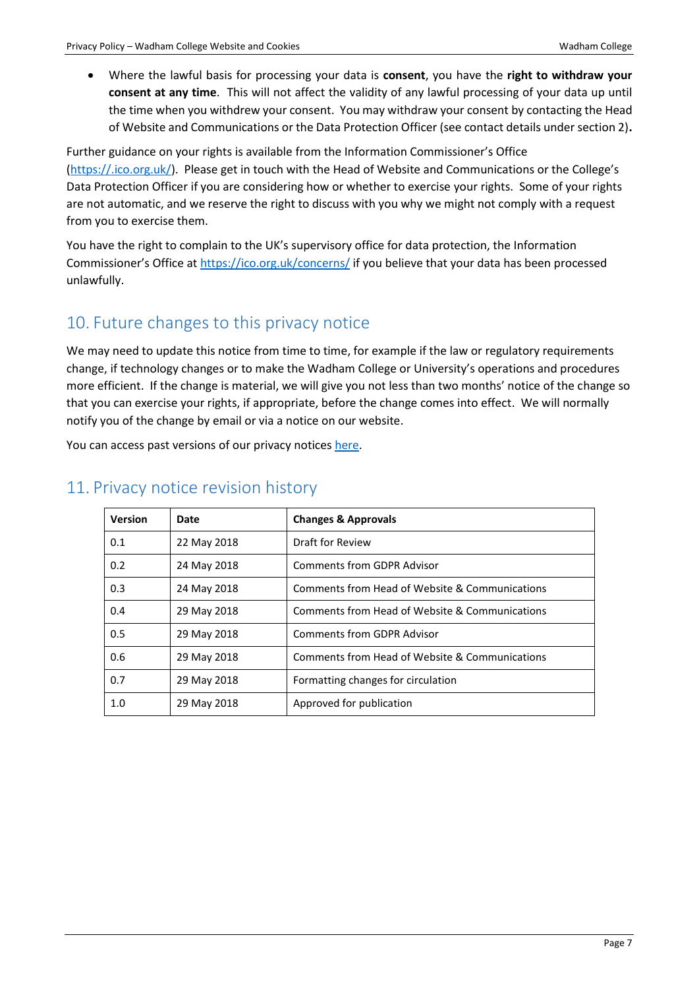Where the lawful basis for processing your data is **consent**, you have the **right to withdraw your consent at any time**. This will not affect the validity of any lawful processing of your data up until the time when you withdrew your consent. You may withdraw your consent by contacting the Head of Website and Communications or the Data Protection Officer (see contact details under section 2)**.**

Further guidance on your rights is available from the Information Commissioner's Office [\(https://.ico.org.uk/\)](https://.ico.org.uk/). Please get in touch with the Head of Website and Communications or the College's Data Protection Officer if you are considering how or whether to exercise your rights. Some of your rights are not automatic, and we reserve the right to discuss with you why we might not comply with a request from you to exercise them.

You have the right to complain to the UK's supervisory office for data protection, the Information Commissioner's Office a[t https://ico.org.uk/concerns/](https://ico.org.uk/concerns/) if you believe that your data has been processed unlawfully.

## <span id="page-6-0"></span>10. Future changes to this privacy notice

We may need to update this notice from time to time, for example if the law or regulatory requirements change, if technology changes or to make the Wadham College or University's operations and procedures more efficient. If the change is material, we will give you not less than two months' notice of the change so that you can exercise your rights, if appropriate, before the change comes into effect. We will normally notify you of the change by email or via a notice on our website.

You can access past versions of our privacy notices [here.](https://www.wadham.ox.ac.uk/governance/wadham-college-gdpr-framework)

| <b>Version</b> | Date        | <b>Changes &amp; Approvals</b>                 |
|----------------|-------------|------------------------------------------------|
| 0.1            | 22 May 2018 | Draft for Review                               |
| 0.2            | 24 May 2018 | <b>Comments from GDPR Advisor</b>              |
| 0.3            | 24 May 2018 | Comments from Head of Website & Communications |
| 0.4            | 29 May 2018 | Comments from Head of Website & Communications |
| 0.5            | 29 May 2018 | <b>Comments from GDPR Advisor</b>              |
| 0.6            | 29 May 2018 | Comments from Head of Website & Communications |
| 0.7            | 29 May 2018 | Formatting changes for circulation             |
| 1.0            | 29 May 2018 | Approved for publication                       |

## <span id="page-6-1"></span>11. Privacy notice revision history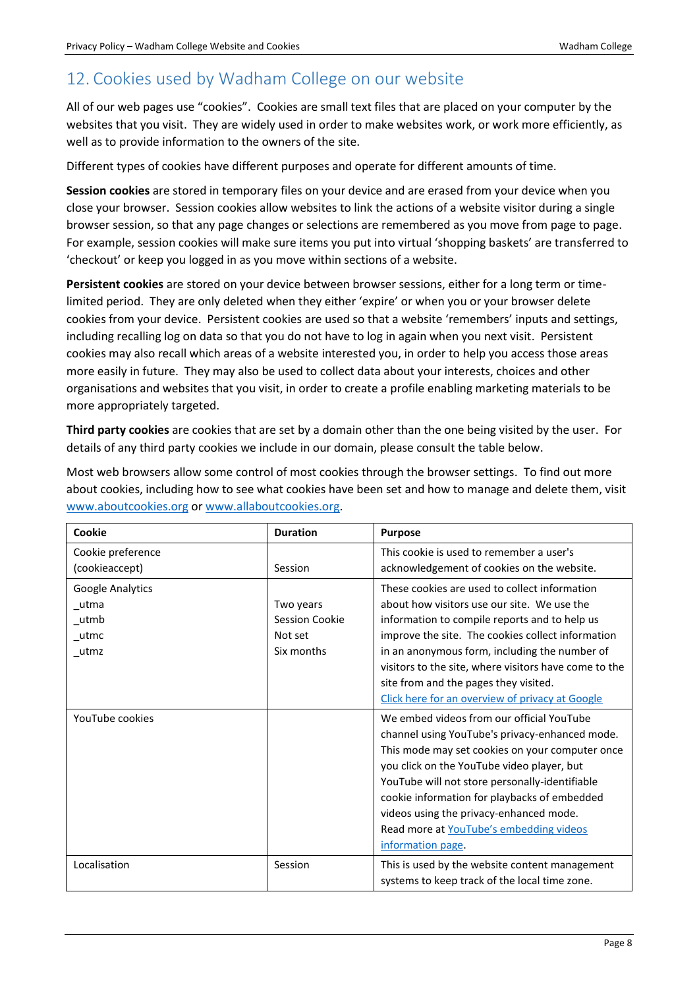## <span id="page-7-0"></span>12. Cookies used by Wadham College on our website

All of our web pages use "cookies". Cookies are small text files that are placed on your computer by the websites that you visit. They are widely used in order to make websites work, or work more efficiently, as well as to provide information to the owners of the site.

Different types of cookies have different purposes and operate for different amounts of time.

**Session cookies** are stored in temporary files on your device and are erased from your device when you close your browser. Session cookies allow websites to link the actions of a website visitor during a single browser session, so that any page changes or selections are remembered as you move from page to page. For example, session cookies will make sure items you put into virtual 'shopping baskets' are transferred to 'checkout' or keep you logged in as you move within sections of a website.

**Persistent cookies** are stored on your device between browser sessions, either for a long term or timelimited period. They are only deleted when they either 'expire' or when you or your browser delete cookies from your device. Persistent cookies are used so that a website 'remembers' inputs and settings, including recalling log on data so that you do not have to log in again when you next visit. Persistent cookies may also recall which areas of a website interested you, in order to help you access those areas more easily in future. They may also be used to collect data about your interests, choices and other organisations and websites that you visit, in order to create a profile enabling marketing materials to be more appropriately targeted.

**Third party cookies** are cookies that are set by a domain other than the one being visited by the user. For details of any third party cookies we include in our domain, please consult the table below.

Most web browsers allow some control of most cookies through the browser settings. To find out more about cookies, including how to see what cookies have been set and how to manage and delete them, visit [www.aboutcookies.org](http://www.aboutcookies.org/) or [www.allaboutcookies.org.](http://www.allaboutcookies.org/)

| Cookie            | <b>Duration</b> | <b>Purpose</b>                                                                                  |
|-------------------|-----------------|-------------------------------------------------------------------------------------------------|
| Cookie preference |                 | This cookie is used to remember a user's                                                        |
| (cookieaccept)    | Session         | acknowledgement of cookies on the website.                                                      |
| Google Analytics  |                 | These cookies are used to collect information                                                   |
| _utma             | Two years       | about how visitors use our site. We use the                                                     |
| _utmb             | Session Cookie  | information to compile reports and to help us                                                   |
| $_{\_}$ utmc      | Not set         | improve the site. The cookies collect information                                               |
| utmz              | Six months      | in an anonymous form, including the number of                                                   |
|                   |                 | visitors to the site, where visitors have come to the                                           |
|                   |                 | site from and the pages they visited.                                                           |
|                   |                 | Click here for an overview of privacy at Google                                                 |
| YouTube cookies   |                 | We embed videos from our official YouTube                                                       |
|                   |                 | channel using YouTube's privacy-enhanced mode.                                                  |
|                   |                 | This mode may set cookies on your computer once                                                 |
|                   |                 | you click on the YouTube video player, but                                                      |
|                   |                 | YouTube will not store personally-identifiable                                                  |
|                   |                 | cookie information for playbacks of embedded                                                    |
|                   |                 | videos using the privacy-enhanced mode.                                                         |
|                   |                 | Read more at YouTube's embedding videos                                                         |
|                   |                 | information page                                                                                |
| Localisation      | Session         | This is used by the website content management<br>systems to keep track of the local time zone. |